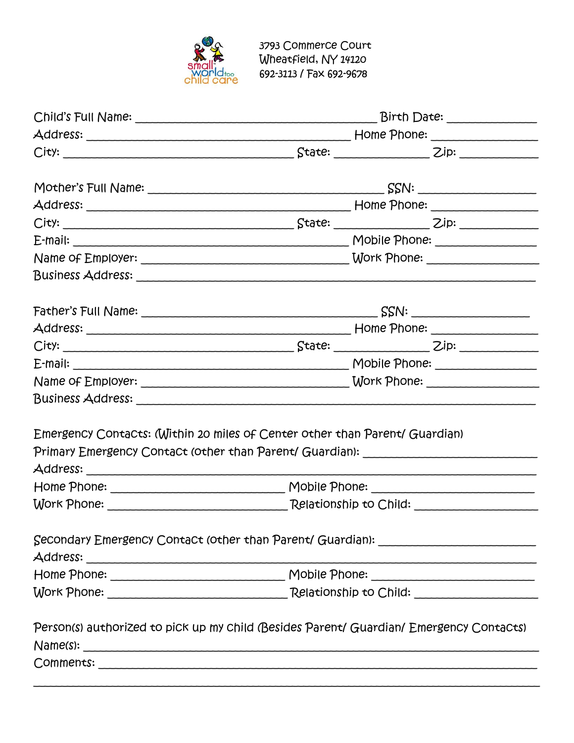

| Emergency Contacts: (Within 20 miles of Center other than Parent/ Guardian)<br>Primary Emergency Contact (other than Parent/ Guardian): _______________________ |  |
|-----------------------------------------------------------------------------------------------------------------------------------------------------------------|--|
|                                                                                                                                                                 |  |
|                                                                                                                                                                 |  |
| Secondary Emergency Contact (other than Parent/ Guardian): _____________________                                                                                |  |
|                                                                                                                                                                 |  |
|                                                                                                                                                                 |  |
| Person(s) authorized to pick up my child (Besides Parent/ Guardian/ Emergency Contacts)                                                                         |  |
|                                                                                                                                                                 |  |
|                                                                                                                                                                 |  |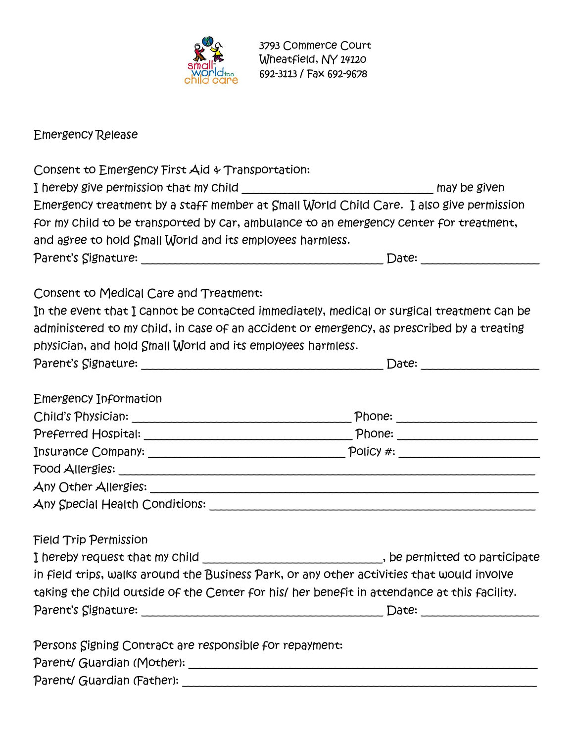

Emergency Release

| Consent to Emergency First Aid & Transportation:                                            |       |
|---------------------------------------------------------------------------------------------|-------|
| I hereby give permission that my Child ___________________________________ may be given     |       |
| Emergency treatment by a staff member at Small World Child Care. I also give permission     |       |
| for my child to be transported by car, ambulance to an emergency center for treatment,      |       |
| and agree to hold Small World and its employees harmless.                                   |       |
|                                                                                             |       |
| Consent to Medical Care and Treatment:                                                      |       |
| In the event that I cannot be contacted immediately, medical or surgical treatment can be   |       |
| administered to my child, in case of an accident or emergency, as prescribed by a treating  |       |
| physician, and hold Small World and its employees harmless.                                 |       |
|                                                                                             |       |
| Emergency Information                                                                       |       |
|                                                                                             |       |
|                                                                                             |       |
|                                                                                             |       |
|                                                                                             |       |
|                                                                                             |       |
|                                                                                             |       |
| <b>Field Trip Permission</b>                                                                |       |
| I hereby request that my Child _____________________________, be permitted to participate   |       |
| in field trips, walks around the Business Park, or any other activities that would involve  |       |
| taking the child outside of the Center for his/ her benefit in attendance at this facility. |       |
|                                                                                             | Date: |
| Persons Signing Contract are responsible for repayment:                                     |       |
| Parent/ Guardian (Mother):                                                                  |       |

Parent/ Guardian (Father): \_\_\_\_\_\_\_\_\_\_\_\_\_\_\_\_\_\_\_\_\_\_\_\_\_\_\_\_\_\_\_\_\_\_\_\_\_\_\_\_\_\_\_\_\_\_\_\_\_\_\_\_\_\_\_\_\_\_\_\_\_\_\_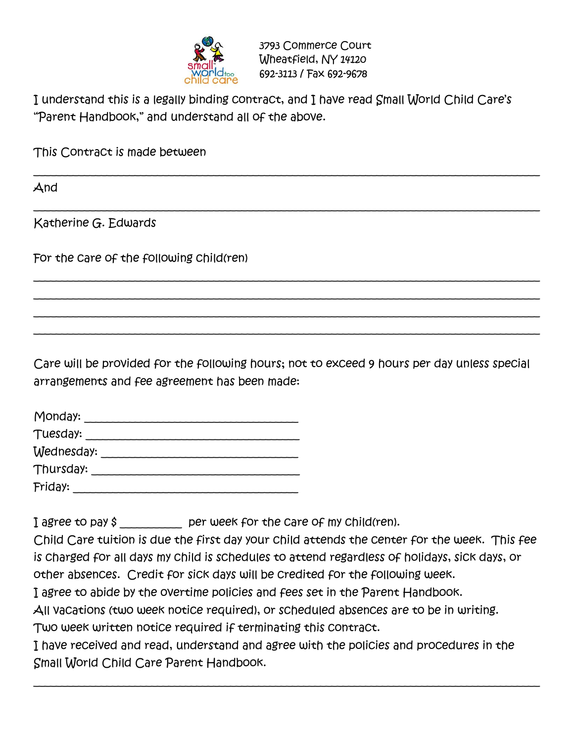

I understand this is a legally binding contract, and I have read Small World Child Care's "Parent Handbook," and understand all of the above.

\_\_\_\_\_\_\_\_\_\_\_\_\_\_\_\_\_\_\_\_\_\_\_\_\_\_\_\_\_\_\_\_\_\_\_\_\_\_\_\_\_\_\_\_\_\_\_\_\_\_\_\_\_\_\_\_\_\_\_\_\_\_\_\_\_\_\_\_\_\_\_\_\_\_\_\_\_\_\_\_\_\_\_\_\_\_\_\_\_\_

\_\_\_\_\_\_\_\_\_\_\_\_\_\_\_\_\_\_\_\_\_\_\_\_\_\_\_\_\_\_\_\_\_\_\_\_\_\_\_\_\_\_\_\_\_\_\_\_\_\_\_\_\_\_\_\_\_\_\_\_\_\_\_\_\_\_\_\_\_\_\_\_\_\_\_\_\_\_\_\_\_\_\_\_\_\_\_\_\_\_

\_\_\_\_\_\_\_\_\_\_\_\_\_\_\_\_\_\_\_\_\_\_\_\_\_\_\_\_\_\_\_\_\_\_\_\_\_\_\_\_\_\_\_\_\_\_\_\_\_\_\_\_\_\_\_\_\_\_\_\_\_\_\_\_\_\_\_\_\_\_\_\_\_\_\_\_\_\_\_\_\_\_\_\_\_\_\_\_\_\_ \_\_\_\_\_\_\_\_\_\_\_\_\_\_\_\_\_\_\_\_\_\_\_\_\_\_\_\_\_\_\_\_\_\_\_\_\_\_\_\_\_\_\_\_\_\_\_\_\_\_\_\_\_\_\_\_\_\_\_\_\_\_\_\_\_\_\_\_\_\_\_\_\_\_\_\_\_\_\_\_\_\_\_\_\_\_\_\_\_\_ \_\_\_\_\_\_\_\_\_\_\_\_\_\_\_\_\_\_\_\_\_\_\_\_\_\_\_\_\_\_\_\_\_\_\_\_\_\_\_\_\_\_\_\_\_\_\_\_\_\_\_\_\_\_\_\_\_\_\_\_\_\_\_\_\_\_\_\_\_\_\_\_\_\_\_\_\_\_\_\_\_\_\_\_\_\_\_\_\_\_ \_\_\_\_\_\_\_\_\_\_\_\_\_\_\_\_\_\_\_\_\_\_\_\_\_\_\_\_\_\_\_\_\_\_\_\_\_\_\_\_\_\_\_\_\_\_\_\_\_\_\_\_\_\_\_\_\_\_\_\_\_\_\_\_\_\_\_\_\_\_\_\_\_\_\_\_\_\_\_\_\_\_\_\_\_\_\_\_\_\_

This Contract is made between

And

Katherine G. Edwards

For the care of the following child(ren)

Care will be provided for the following hours; not to exceed 9 hours per day unless special arrangements and fee agreement has been made:

| Monday:    |  |
|------------|--|
| Tuesday:   |  |
| Wednesday: |  |
| Thursday:  |  |
| Friday:    |  |

I agree to pay \$ per week for the care of my child(ren).

Child Care tuition is due the first day your child attends the center for the week. This fee is charged for all days my child is schedules to attend regardless of holidays, sick days, or other absences. Credit for sick days will be credited for the following week.

I agree to abide by the overtime policies and fees set in the Parent Handbook.

All vacations (two week notice required), or scheduled absences are to be in writing. Two week written notice required if terminating this contract.

I have received and read, understand and agree with the policies and procedures in the Small World Child Care Parent Handbook.

\_\_\_\_\_\_\_\_\_\_\_\_\_\_\_\_\_\_\_\_\_\_\_\_\_\_\_\_\_\_\_\_\_\_\_\_\_\_\_\_\_\_\_\_\_\_\_\_\_\_\_\_\_\_\_\_\_\_\_\_\_\_\_\_\_\_\_\_\_\_\_\_\_\_\_\_\_\_\_\_\_\_\_\_\_\_\_\_\_\_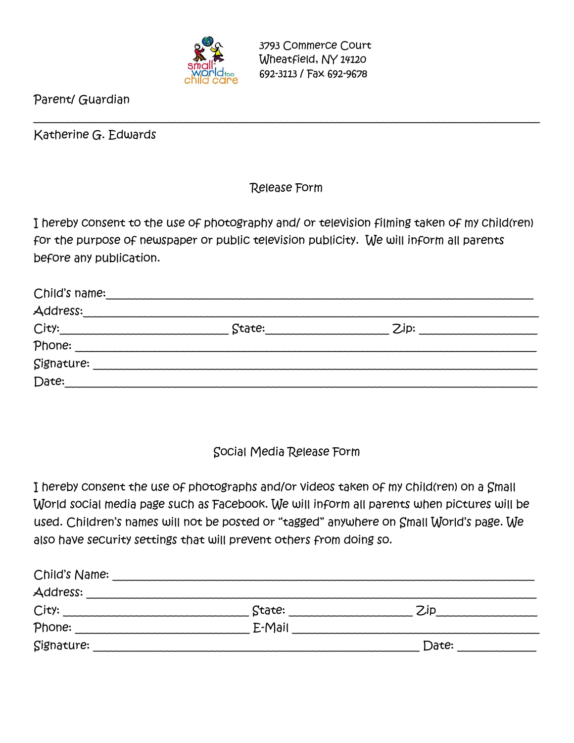

Parent/ Guardian

Katherine G. Edwards

## Release Form

\_\_\_\_\_\_\_\_\_\_\_\_\_\_\_\_\_\_\_\_\_\_\_\_\_\_\_\_\_\_\_\_\_\_\_\_\_\_\_\_\_\_\_\_\_\_\_\_\_\_\_\_\_\_\_\_\_\_\_\_\_\_\_\_\_\_\_\_\_\_\_\_\_\_\_\_\_\_\_\_\_\_\_\_\_\_\_\_\_\_

I hereby consent to the use of photography and/ or television filming taken of my child(ren) for the purpose of newspaper or public television publicity. We will inform all parents before any publication.

| Child's name: |        |      |  |
|---------------|--------|------|--|
| Address:      |        |      |  |
| City:         | State: | Zip: |  |
| Phone:        |        |      |  |
| Signature:    |        |      |  |
| Date:         |        |      |  |

## Social Media Release Form

I hereby consent the use of photographs and/or videos taken of my child(ren) on a Small World social media page such as Facebook. We will inform all parents when pictures will be used. Children's names will not be posted or "tagged" anywhere on Small World's page. We also have security settings that will prevent others from doing so.

| Child's Name: |        |       |  |
|---------------|--------|-------|--|
| Address:      |        |       |  |
| City:         | State: | Zip   |  |
| Phone:        | E-Mail |       |  |
| Signature:    |        | Date: |  |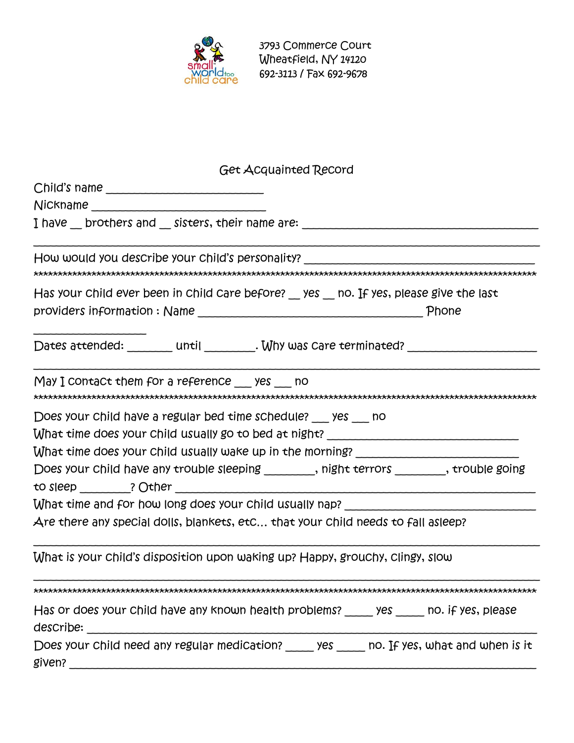

| <b>Get Acquainted Record</b>                                                                           |
|--------------------------------------------------------------------------------------------------------|
|                                                                                                        |
|                                                                                                        |
| I have __ brothers and __ sisters, their name are: _____________________________                       |
| How would you describe your child's personality?                                                       |
| Has your child ever been in child care before? yes no. If yes, please give the last                    |
|                                                                                                        |
| Dates attended: _______ until ________. Why was care terminated? _______________                       |
| $May I$ contact them for a reference yes no                                                            |
| Does your child have a regular bed time schedule? yes no                                               |
| What time does your child usually go to bed at night? __________________________                       |
| What time does your child usually wake up in the morning? _______________________                      |
| Does your child have any trouble sleeping ________, night terrors ________, trouble going              |
| What time and for how long does your child usually nap? _________________________                      |
| Are there any special dolls, blankets, etc that your child needs to fall asleep?                       |
| What is your child's disposition upon waking up? Happy, grouchy, clingy, slow                          |
|                                                                                                        |
| Has or does your child have any known health problems? _____ yes _____ no. if yes, please<br>describe: |
| Does your child need any regular medication? _____ yes _____ no. If yes, what and when is it           |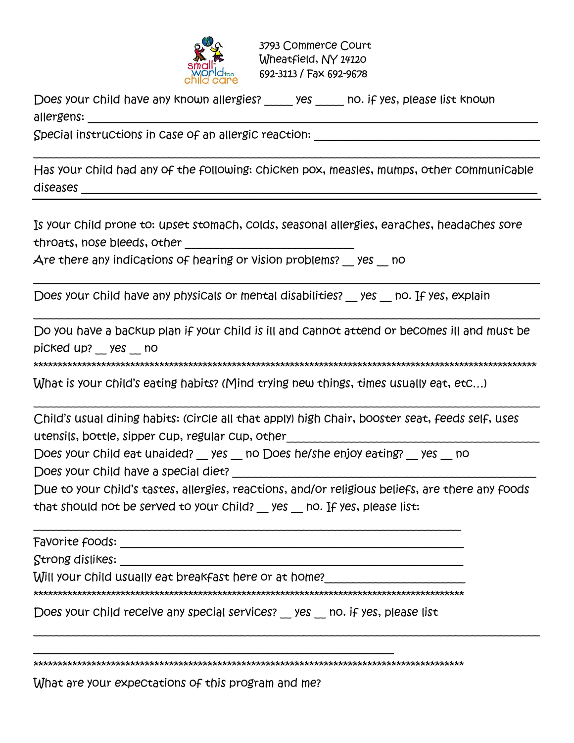

Does your child have any known allergies? \_\_\_\_\_\_ yes \_\_\_\_\_\_ no. if yes, please list known allergens:

Special instructions in case of an allergic reaction:

Has your child had any of the following: chicken pox, measles, mumps, other communicable diseases \_\_\_\_\_\_\_\_\_\_\_\_\_\_\_\_\_\_\_\_\_\_\_\_\_\_\_\_\_\_\_\_\_\_\_\_\_\_\_\_\_\_\_\_\_\_\_\_\_\_\_\_\_\_\_\_\_\_\_\_\_\_\_\_\_\_\_\_\_\_\_\_\_\_\_\_\_\_\_\_\_

\_\_\_\_\_\_\_\_\_\_\_\_\_\_\_\_\_\_\_\_\_\_\_\_\_\_\_\_\_\_\_\_\_\_\_\_\_\_\_\_\_\_\_\_\_\_\_\_\_\_\_\_\_\_\_\_\_\_\_\_\_\_\_\_\_\_\_\_\_\_\_\_\_\_\_\_\_\_\_\_\_\_\_\_\_\_\_\_\_\_

Is your child prone to: upset stomach, colds, seasonal allergies, earaches, headaches sore throats, nose bleeds, other \_\_\_\_\_\_\_\_\_\_\_\_\_\_\_\_\_\_\_\_\_\_\_\_\_\_\_\_\_\_

Are there any indications of hearing or vision problems? yes \_\_ no

Does your child have any physicals or mental disabilities? \_\_ yes \_\_ no. If yes, explain

Do you have a backup plan if your child is ill and cannot attend or becomes ill and must be picked up? \_\_ yes \_\_ no

\_\_\_\_\_\_\_\_\_\_\_\_\_\_\_\_\_\_\_\_\_\_\_\_\_\_\_\_\_\_\_\_\_\_\_\_\_\_\_\_\_\_\_\_\_\_\_\_\_\_\_\_\_\_\_\_\_\_\_\_\_\_\_\_\_\_\_\_\_\_\_\_\_\_\_\_\_\_\_\_\_\_\_\_\_\_\_\_\_\_

\_\_\_\_\_\_\_\_\_\_\_\_\_\_\_\_\_\_\_\_\_\_\_\_\_\_\_\_\_\_\_\_\_\_\_\_\_\_\_\_\_\_\_\_\_\_\_\_\_\_\_\_\_\_\_\_\_\_\_\_\_\_\_\_\_\_\_\_\_\_\_\_\_\_\_\_\_\_\_\_\_\_\_\_\_\_\_\_\_\_

\*\*\*\*\*\*\*\*\*\*\*\*\*\*\*\*\*\*\*\*\*\*\*\*\*\*\*\*\*\*\*\*\*\*\*\*\*\*\*\*\*\*\*\*\*\*\*\*\*\*\*\*\*\*\*\*\*\*\*\*\*\*\*\*\*\*\*\*\*\*\*\*\*\*\*\*\*\*\*\*\*\*\*\*\*\*\*\*\*\*\*\*\*\*\*\*\*\*\*\*\*\*\*\*

\_\_\_\_\_\_\_\_\_\_\_\_\_\_\_\_\_\_\_\_\_\_\_\_\_\_\_\_\_\_\_\_\_\_\_\_\_\_\_\_\_\_\_\_\_\_\_\_\_\_\_\_\_\_\_\_\_\_\_\_\_\_\_\_\_\_\_\_\_\_\_\_\_\_\_\_\_\_\_\_\_\_\_\_\_\_\_\_\_\_

What is your child's eating habits? (Mind trying new things, times usually eat, etc…)

Child's usual dining habits: (circle all that apply) high chair, booster seat, feeds self, uses utensils, bottle, sipper cup, regular cup, other\_\_\_\_\_\_\_\_\_\_\_\_\_\_\_\_\_\_\_\_\_\_\_\_\_\_\_\_\_\_\_\_\_\_\_\_\_\_\_\_\_\_\_\_\_

Does your child eat unaided? yes \_\_ no Does he/she enjoy eating? yes \_\_ no

Does your child have a special diet?

Due to your child's tastes, allergies, reactions, and/or religious beliefs, are there any foods that should not be served to your child? yes \_\_ no. If yes, please list:

\_\_\_\_\_\_\_\_\_\_\_\_\_\_\_\_\_\_\_\_\_\_\_\_\_\_\_\_\_\_\_\_\_\_\_\_\_\_\_\_\_\_\_\_\_\_\_\_\_\_\_\_\_\_\_\_\_\_\_\_\_\_\_\_\_\_\_\_\_\_\_\_\_\_\_\_\_\_\_\_\_\_\_\_\_\_\_\_\_\_

| Favorite foods:  |  |
|------------------|--|
| Strong dislikes: |  |

Will your child usually eat breakfast here or at home?

\*\*\*\*\*\*\*\*\*\*\*\*\*\*\*\*\*\*\*\*\*\*\*\*\*\*\*\*\*\*\*\*\*\*\*\*\*\*\*\*\*\*\*\*\*\*\*\*\*\*\*\*\*\*\*\*\*\*\*\*\*\*\*\*\*\*\*\*\*\*\*\*\*\*\*\*\*\*\*\*\*\*\*\*\*\*\*\*\*

Does your child receive any special services? yes \_\_ no. if yes, please list

\_\_\_\_\_\_\_\_\_\_\_\_\_\_\_\_\_\_\_\_\_\_\_\_\_\_\_\_\_\_\_\_\_\_\_\_\_\_\_\_\_\_\_\_\_\_\_\_\_\_\_\_\_\_\_\_\_\_\_\_\_\_\_\_

\*\*\*\*\*\*\*\*\*\*\*\*\*\*\*\*\*\*\*\*\*\*\*\*\*\*\*\*\*\*\*\*\*\*\*\*\*\*\*\*\*\*\*\*\*\*\*\*\*\*\*\*\*\*\*\*\*\*\*\*\*\*\*\*\*\*\*\*\*\*\*\*\*\*\*\*\*\*\*\*\*\*\*\*\*\*\*\*\*

What are your expectations of this program and me?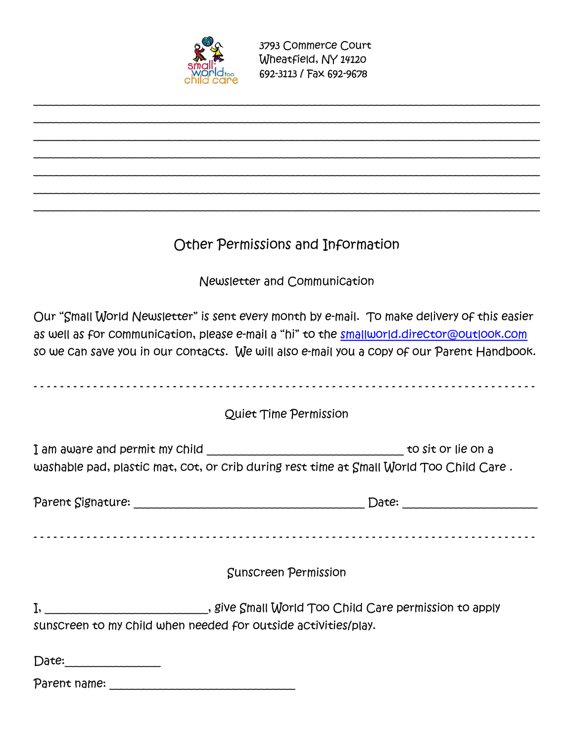

## Other Permissions and Information

\_\_\_\_\_\_\_\_\_\_\_\_\_\_\_\_\_\_\_\_\_\_\_\_\_\_\_\_\_\_\_\_\_\_\_\_\_\_\_\_\_\_\_\_\_\_\_\_\_\_\_\_\_\_\_\_\_\_\_\_\_\_\_\_\_\_\_\_\_\_\_\_\_\_\_\_\_\_\_\_\_\_\_\_\_\_\_\_\_\_ \_\_\_\_\_\_\_\_\_\_\_\_\_\_\_\_\_\_\_\_\_\_\_\_\_\_\_\_\_\_\_\_\_\_\_\_\_\_\_\_\_\_\_\_\_\_\_\_\_\_\_\_\_\_\_\_\_\_\_\_\_\_\_\_\_\_\_\_\_\_\_\_\_\_\_\_\_\_\_\_\_\_\_\_\_\_\_\_\_\_ \_\_\_\_\_\_\_\_\_\_\_\_\_\_\_\_\_\_\_\_\_\_\_\_\_\_\_\_\_\_\_\_\_\_\_\_\_\_\_\_\_\_\_\_\_\_\_\_\_\_\_\_\_\_\_\_\_\_\_\_\_\_\_\_\_\_\_\_\_\_\_\_\_\_\_\_\_\_\_\_\_\_\_\_\_\_\_\_\_\_ \_\_\_\_\_\_\_\_\_\_\_\_\_\_\_\_\_\_\_\_\_\_\_\_\_\_\_\_\_\_\_\_\_\_\_\_\_\_\_\_\_\_\_\_\_\_\_\_\_\_\_\_\_\_\_\_\_\_\_\_\_\_\_\_\_\_\_\_\_\_\_\_\_\_\_\_\_\_\_\_\_\_\_\_\_\_\_\_\_\_ \_\_\_\_\_\_\_\_\_\_\_\_\_\_\_\_\_\_\_\_\_\_\_\_\_\_\_\_\_\_\_\_\_\_\_\_\_\_\_\_\_\_\_\_\_\_\_\_\_\_\_\_\_\_\_\_\_\_\_\_\_\_\_\_\_\_\_\_\_\_\_\_\_\_\_\_\_\_\_\_\_\_\_\_\_\_\_\_\_\_ \_\_\_\_\_\_\_\_\_\_\_\_\_\_\_\_\_\_\_\_\_\_\_\_\_\_\_\_\_\_\_\_\_\_\_\_\_\_\_\_\_\_\_\_\_\_\_\_\_\_\_\_\_\_\_\_\_\_\_\_\_\_\_\_\_\_\_\_\_\_\_\_\_\_\_\_\_\_\_\_\_\_\_\_\_\_\_\_\_\_ \_\_\_\_\_\_\_\_\_\_\_\_\_\_\_\_\_\_\_\_\_\_\_\_\_\_\_\_\_\_\_\_\_\_\_\_\_\_\_\_\_\_\_\_\_\_\_\_\_\_\_\_\_\_\_\_\_\_\_\_\_\_\_\_\_\_\_\_\_\_\_\_\_\_\_\_\_\_\_\_\_\_\_\_\_\_\_\_\_\_

Newsletter and Communication

Our "Small World Newsletter" is sent every month by e-mail. To make delivery of this easier as well as for communication, please e-mail a "hi" to the [smallworld.director@outlook.com](mailto:smallworld.director@outlook.com) so we can save you in our contacts. We will also e-mail you a copy of our Parent Handbook.

|                                                                | Quiet Time Permission                                                                   |
|----------------------------------------------------------------|-----------------------------------------------------------------------------------------|
|                                                                | washable pad, plastic mat, cot, or crib during rest time at Small World Too Child Care. |
|                                                                | Date:                                                                                   |
|                                                                | <b>Sunscreen Permission</b>                                                             |
| sunscreen to my child when needed for outside activities/play. |                                                                                         |
| Date:                                                          |                                                                                         |

Parent name: \_\_\_\_\_\_\_\_\_\_\_\_\_\_\_\_\_\_\_\_\_\_\_\_\_\_\_\_\_\_\_\_\_